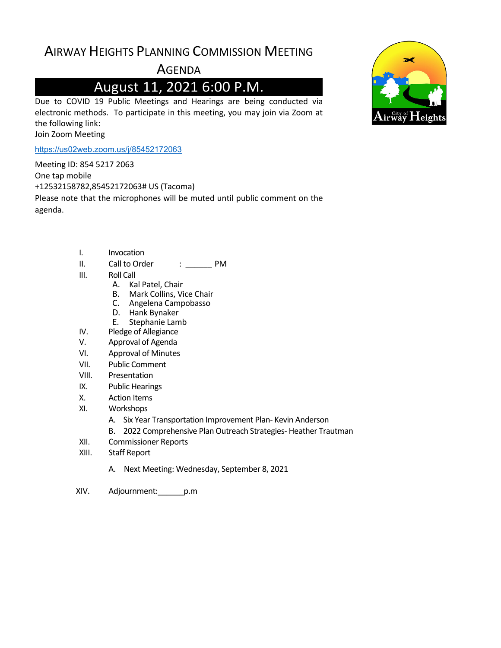# AIRWAY HEIGHTS PLANNING COMMISSION MEETING

**AGENDA** 

# August 11, 2021 6:00 P.M.

Due to COVID 19 Public Meetings and Hearings are being conducted via electronic methods. To participate in this meeting, you may join via Zoom at the following link: Join Zoom Meeting

<https://us02web.zoom.us/j/85452172063>

Meeting ID: 854 5217 2063

One tap mobile

+12532158782,85452172063# US (Tacoma)

Please note that the microphones will be muted until public comment on the agenda.

- I. Invocation
- II. Call to Order : \_\_\_\_\_\_ PM
- III. Roll Call
	- A. Kal Patel, Chair
	- B. Mark Collins, Vice Chair
	- C. Angelena Campobasso
	- D. Hank Bynaker
	- E. Stephanie Lamb
- IV. Pledge of Allegiance
- V. Approval of Agenda
- VI. Approval of Minutes
- VII. Public Comment
- VIII. Presentation
- IX. Public Hearings
- X. Action Items
- XI. Workshops
	- A. Six Year Transportation Improvement Plan- Kevin Anderson
	- B. 2022 Comprehensive Plan Outreach Strategies- Heather Trautman
- XII. Commissioner Reports
- XIII. Staff Report
	- A. Next Meeting: Wednesday, September 8, 2021
- XIV. Adjournment:\_\_\_\_\_\_p.m

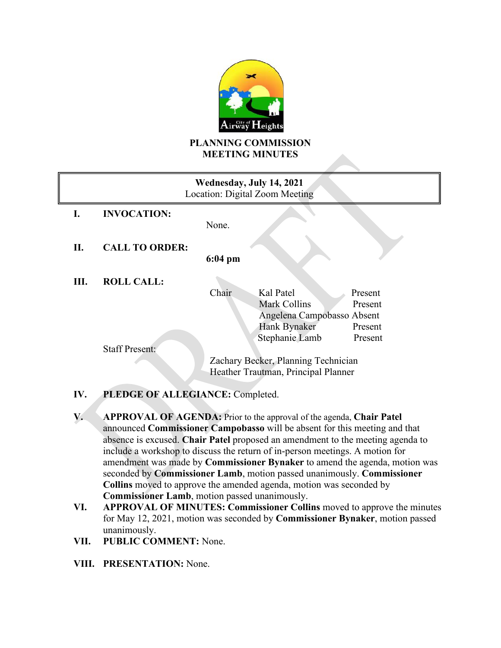

#### **PLANNING COMMISSION MEETING MINUTES**

| Wednesday, July 14, 2021<br>Location: Digital Zoom Meeting |                       |                                     |                            |         |
|------------------------------------------------------------|-----------------------|-------------------------------------|----------------------------|---------|
| L.                                                         | <b>INVOCATION:</b>    |                                     |                            |         |
|                                                            |                       | None.                               |                            |         |
| П.                                                         | <b>CALL TO ORDER:</b> |                                     |                            |         |
|                                                            |                       | $6:04 \text{ pm}$                   |                            |         |
| Ш.                                                         | <b>ROLL CALL:</b>     |                                     |                            |         |
|                                                            |                       | Chair                               | Kal Patel                  | Present |
|                                                            |                       |                                     | Mark Collins               | Present |
|                                                            |                       |                                     | Angelena Campobasso Absent |         |
|                                                            |                       |                                     | <b>Hank Bynaker</b>        | Present |
|                                                            |                       |                                     | Stephanie Lamb             | Present |
|                                                            | <b>Staff Present:</b> |                                     |                            |         |
|                                                            |                       | Zachary Becker, Planning Technician |                            |         |
|                                                            |                       | Heather Trautman, Principal Planner |                            |         |

#### **IV. PLEDGE OF ALLEGIANCE:** Completed.

**V. APPROVAL OF AGENDA:** Prior to the approval of the agenda, **Chair Patel** announced **Commissioner Campobasso** will be absent for this meeting and that absence is excused. **Chair Patel** proposed an amendment to the meeting agenda to include a workshop to discuss the return of in-person meetings. A motion for amendment was made by **Commissioner Bynaker** to amend the agenda, motion was seconded by **Commissioner Lamb**, motion passed unanimously. **Commissioner Collins** moved to approve the amended agenda, motion was seconded by **Commissioner Lamb**, motion passed unanimously.

- **VI. APPROVAL OF MINUTES: Commissioner Collins** moved to approve the minutes for May 12, 2021, motion was seconded by **Commissioner Bynaker**, motion passed unanimously.
- **VII. PUBLIC COMMENT:** None.
- **VIII. PRESENTATION:** None.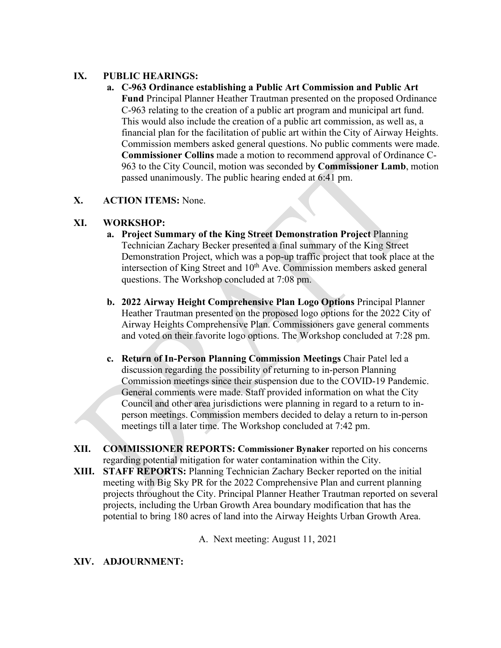#### **IX. PUBLIC HEARINGS:**

**a. C-963 Ordinance establishing a Public Art Commission and Public Art Fund** Principal Planner Heather Trautman presented on the proposed Ordinance C-963 relating to the creation of a public art program and municipal art fund. This would also include the creation of a public art commission, as well as, a financial plan for the facilitation of public art within the City of Airway Heights. Commission members asked general questions. No public comments were made. **Commissioner Collins** made a motion to recommend approval of Ordinance C-963 to the City Council, motion was seconded by **Commissioner Lamb**, motion passed unanimously. The public hearing ended at 6:41 pm.

#### **X. ACTION ITEMS:** None.

#### **XI. WORKSHOP:**

- **a. Project Summary of the King Street Demonstration Project** Planning Technician Zachary Becker presented a final summary of the King Street Demonstration Project, which was a pop-up traffic project that took place at the intersection of King Street and 10<sup>th</sup> Ave. Commission members asked general questions. The Workshop concluded at 7:08 pm.
- **b. 2022 Airway Height Comprehensive Plan Logo Options** Principal Planner Heather Trautman presented on the proposed logo options for the 2022 City of Airway Heights Comprehensive Plan. Commissioners gave general comments and voted on their favorite logo options. The Workshop concluded at 7:28 pm.
- **c. Return of In-Person Planning Commission Meetings** Chair Patel led a discussion regarding the possibility of returning to in-person Planning Commission meetings since their suspension due to the COVID-19 Pandemic. General comments were made. Staff provided information on what the City Council and other area jurisdictions were planning in regard to a return to inperson meetings. Commission members decided to delay a return to in-person meetings till a later time. The Workshop concluded at 7:42 pm.
- **XII. COMMISSIONER REPORTS: Commissioner Bynaker** reported on his concerns regarding potential mitigation for water contamination within the City.
- **XIII. STAFF REPORTS:** Planning Technician Zachary Becker reported on the initial meeting with Big Sky PR for the 2022 Comprehensive Plan and current planning projects throughout the City. Principal Planner Heather Trautman reported on several projects, including the Urban Growth Area boundary modification that has the potential to bring 180 acres of land into the Airway Heights Urban Growth Area.

A. Next meeting: August 11, 2021

#### **XIV. ADJOURNMENT:**